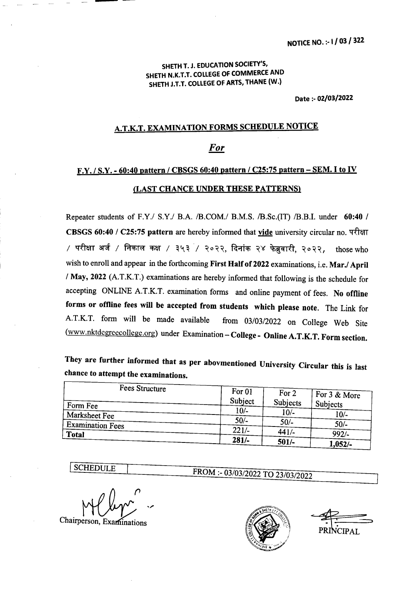## SHETH T. J. EDUCATION SOCIETY'S, SHETH N.K.T.T. COllEGE OF COMMERCE AND SHETH J.T.T. COllEGE OF ARTS, THANE (W.)

Date :- 02/03/2022

## A.T.K.T. EXAMINATION FORMS SCHEDULE NOTICE

## *For*

## *F.Y.I* S.Y. - 60:40 pattern *I* CBSGS 60:40 pattern *I* C2S:7S pattern - SEM. I to IV (LAST CHANCE UNDER THESE PATTERNS)

Repeater students of F.Y./ S.Y./ B.A. /B.COM./ B.M.S. /B.Sc.(IT) /B.B.I. under 60:40 / CBSGS 60:40 / C25:75 pattern are hereby informed that <u>vide</u> university circular no. परीक्षा / परीक्षा अर्ज / निकाल कक्ष / ३५३ / २०२२, दिनांक २४ फेब्रुवारी, २०२२, those who wish to enroll and appear in the forthcoming First Half of 2022 examinations, i.e. Mar./ April *I* May, 2022 (AT.K.T.) examinations are hereby informed that following is the schedule for accepting ONLINE A.T.K.T. examination forms and online payment of fees. No offline forms or offline fees will be accepted from students which please note. The Link for AT.K.T. form will be made available from *03/03/2022* on College Web Site (www.nktdegreecollege.org) under Examination - College - Online A.T.K.T. Form section.

They are further informed that as per abovmentioned University Circular this is last chance to attempt the examinations.

| Fees Structure          |         |          |                  |
|-------------------------|---------|----------|------------------|
|                         | For 01  | For 2    | $F$ For 3 & More |
| Form Fee                | Subject | Subjects | Subjects         |
| <b>Marksheet Fee</b>    | $10/-$  | $10/-$   | $10/-$           |
| <b>Examination Fees</b> | $50/-$  | $50/-$   | $50/-$           |
| <b>Total</b>            | $221/-$ | $441/-$  | 992/             |
|                         | $281/-$ | $501/-$  | 1,052/-          |

**SCHEDULE** 

Chairperson, Examinations



FROM :- 03/03/2022 TO 23/03/2022

 $\overline{\phantom{0}}$ PRINCIPAL